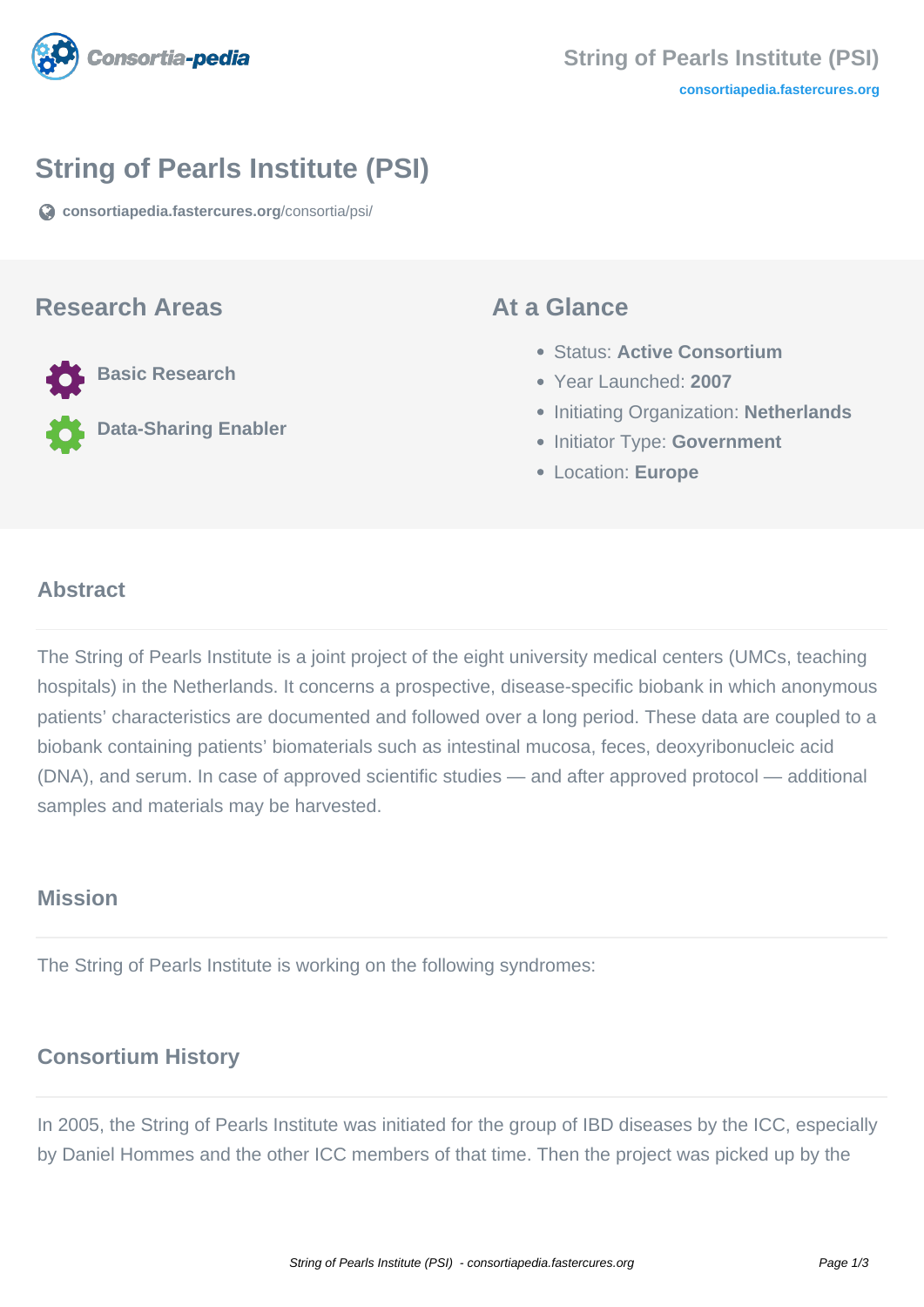

# **String of Pearls Institute (PSI)**

**[consortiapedia.fastercures.org](https://consortiapedia.fastercures.org/consortia/psi/)**[/consortia/psi/](https://consortiapedia.fastercures.org/consortia/psi/)

#### **Research Areas**

**Basic Research**

**Data-Sharing Enabler**

#### **At a Glance**

- Status: **Active Consortium**
- Year Launched: **2007**
- **Initiating Organization: Netherlands**
- **Initiator Type: Government**
- Location: **Europe**

#### $\overline{a}$ **Abstract**

The String of Pearls Institute is a joint project of the eight university medical centers (UMCs, teaching hospitals) in the Netherlands. It concerns a prospective, disease-specific biobank in which anonymous patients' characteristics are documented and followed over a long period. These data are coupled to a biobank containing patients' biomaterials such as intestinal mucosa, feces, deoxyribonucleic acid (DNA), and serum. In case of approved scientific studies — and after approved protocol — additional samples and materials may be harvested.

## **Mission**

The String of Pearls Institute is working on the following syndromes:

## **Consortium History**

In 2005, the String of Pearls Institute was initiated for the group of IBD diseases by the ICC, especially by Daniel Hommes and the other ICC members of that time. Then the project was picked up by the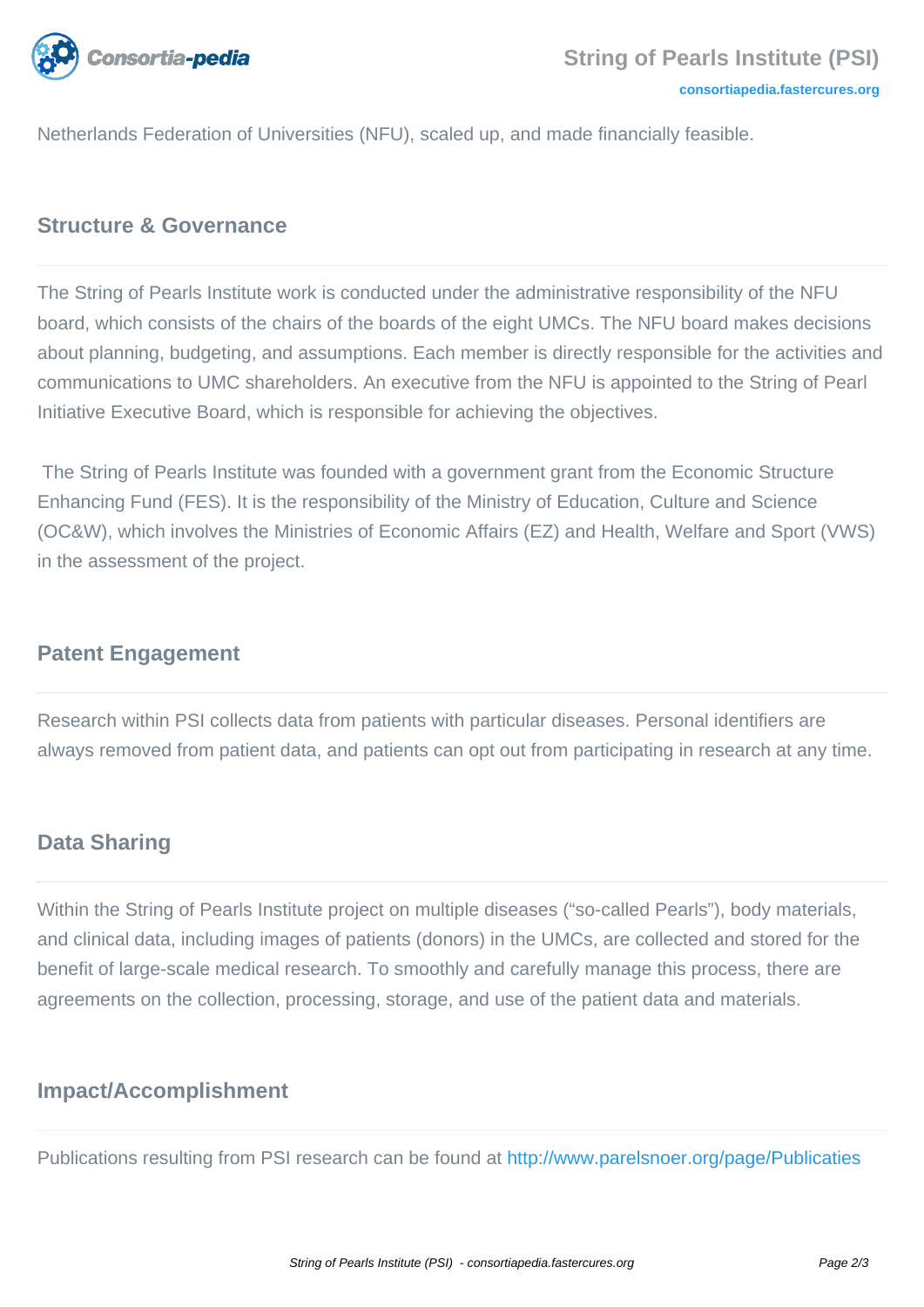

Netherlands Federation of Universities (NFU), scaled up, and made financially feasible.

### **Structure & Governance**

The String of Pearls Institute work is conducted under the administrative responsibility of the NFU board, which consists of the chairs of the boards of the eight UMCs. The NFU board makes decisions about planning, budgeting, and assumptions. Each member is directly responsible for the activities and communications to UMC shareholders. An executive from the NFU is appointed to the String of Pearl Initiative Executive Board, which is responsible for achieving the objectives.

 The String of Pearls Institute was founded with a government grant from the Economic Structure Enhancing Fund (FES). It is the responsibility of the Ministry of Education, Culture and Science (OC&W), which involves the Ministries of Economic Affairs (EZ) and Health, Welfare and Sport (VWS) in the assessment of the project.

#### **Patent Engagement**

Research within PSI collects data from patients with particular diseases. Personal identifiers are always removed from patient data, and patients can opt out from participating in research at any time.

#### **Data Sharing**

Within the String of Pearls Institute project on multiple diseases ("so-called Pearls"), body materials, and clinical data, including images of patients (donors) in the UMCs, are collected and stored for the benefit of large-scale medical research. To smoothly and carefully manage this process, there are agreements on the collection, processing, storage, and use of the patient data and materials.

#### **Impact/Accomplishment**

Publications resulting from PSI research can be found at <http://www.parelsnoer.org/page/Publicaties>